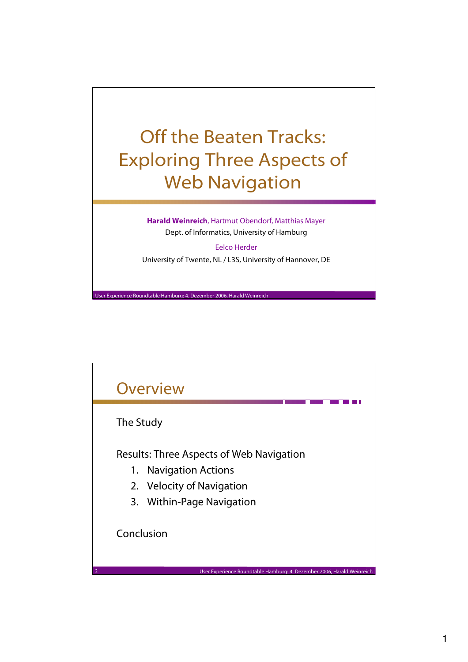## Off the Beaten Tracks: Exploring Three Aspects of Web Navigation

**Harald Weinreich**, Hartmut Obendorf, Matthias Mayer Dept. of Informatics, University of Hamburg

Eelco Herder University of Twente, NL / L3S, University of Hannover, DE

User Experience Roundtable Hamburg: 4. Dezember 2006, Harald Weinreich

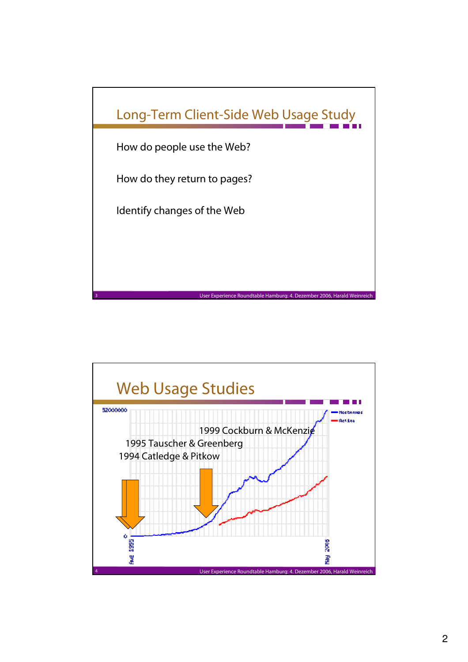

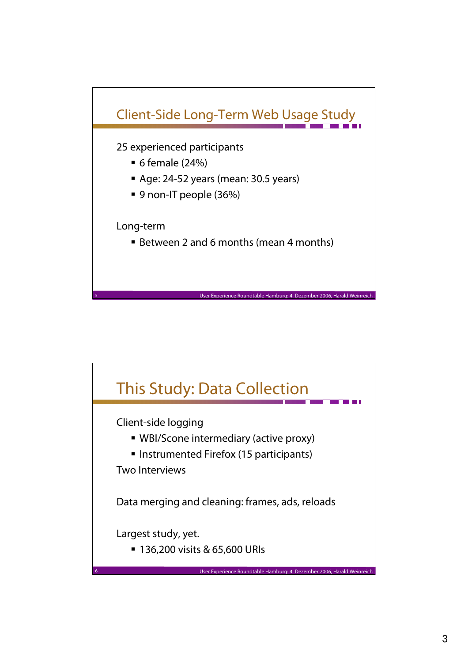

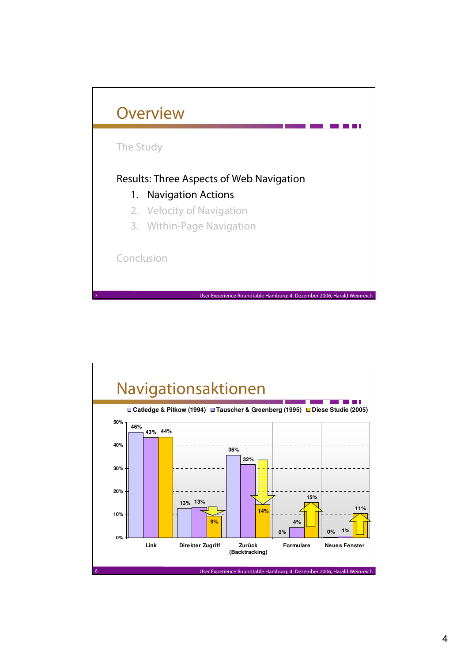

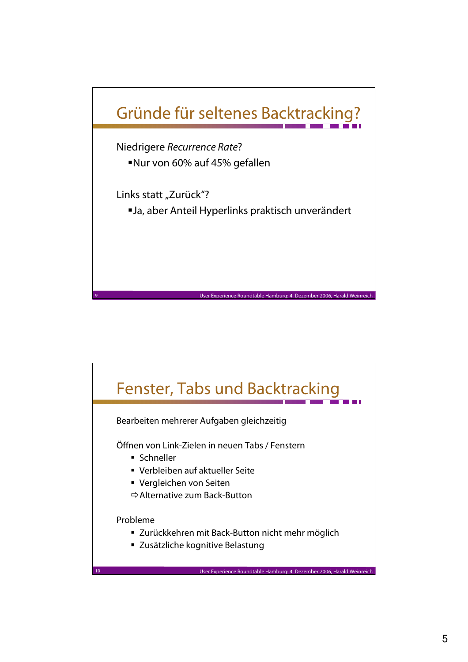

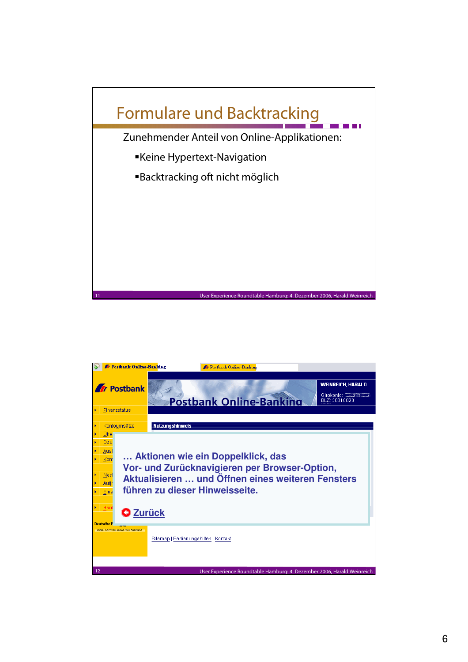

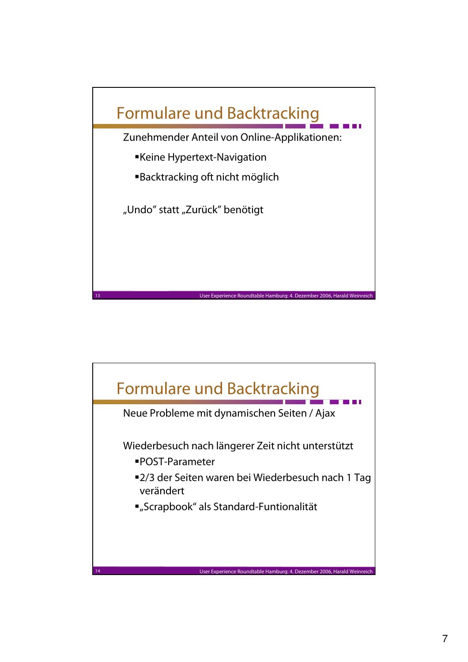

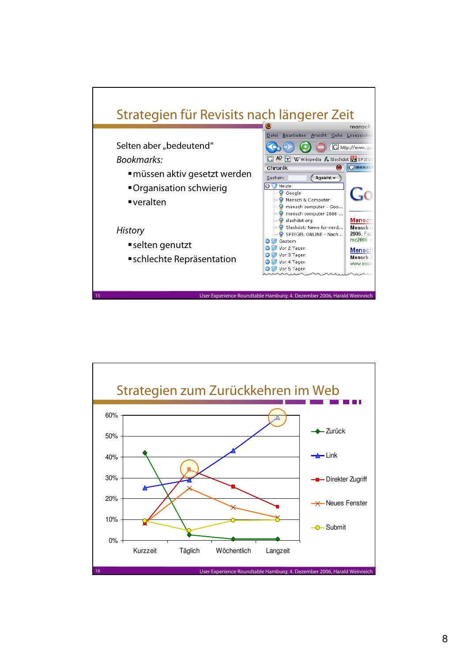

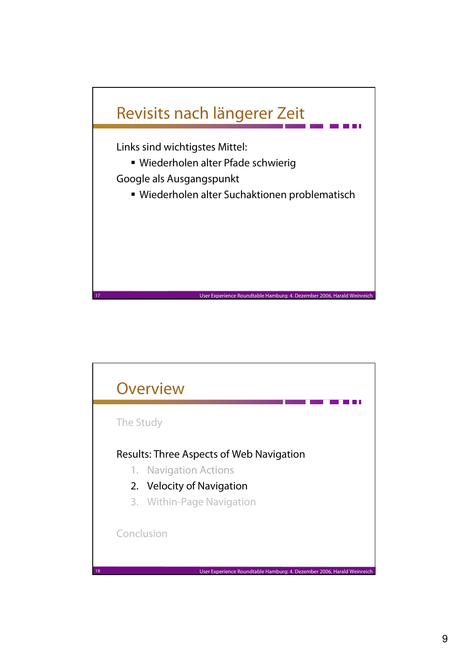

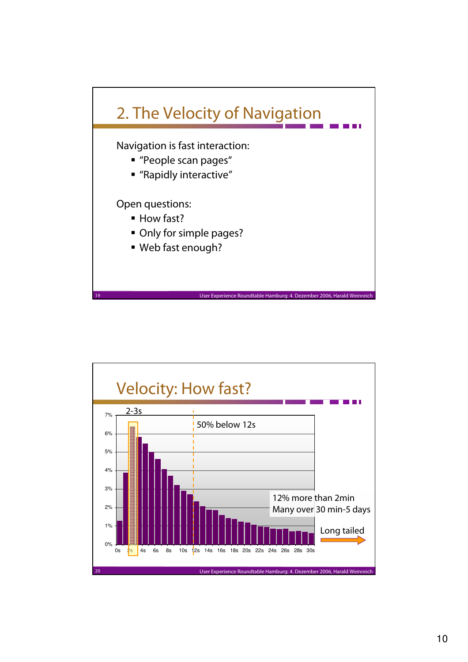

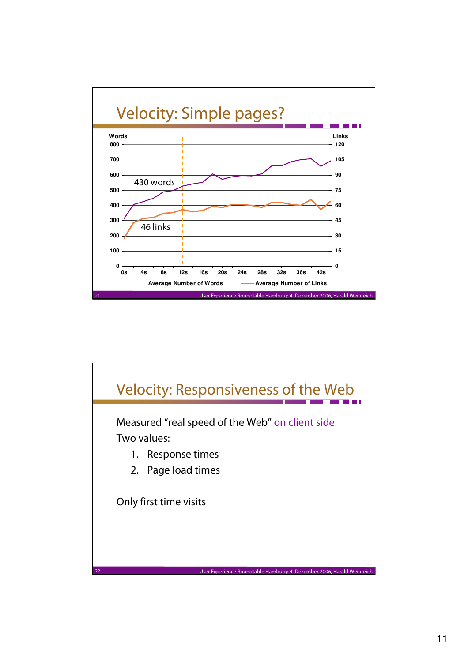

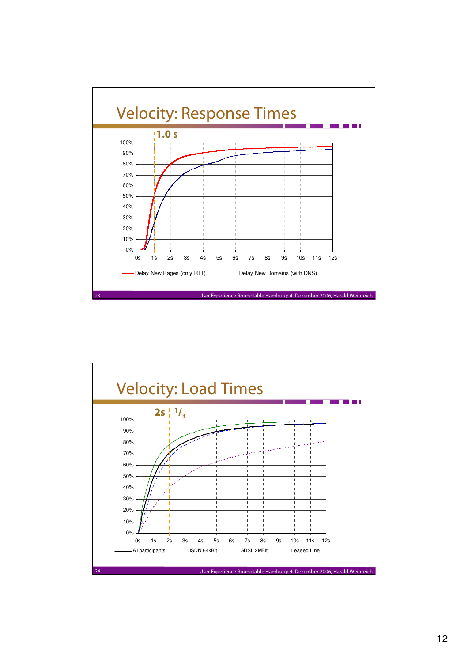

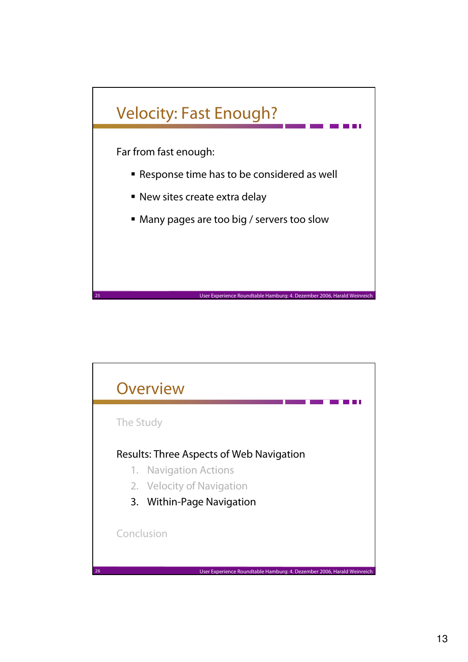

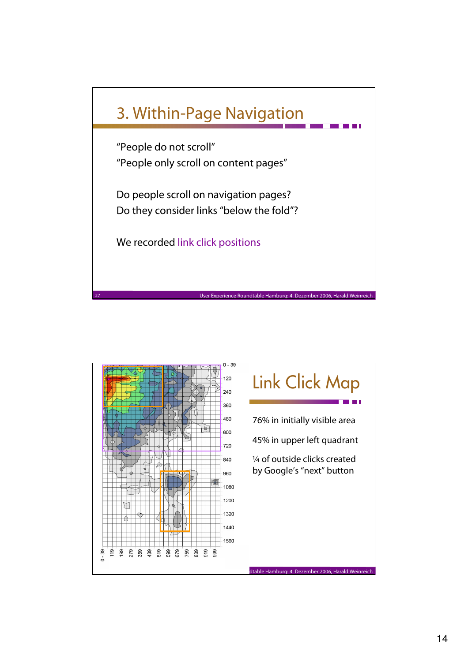

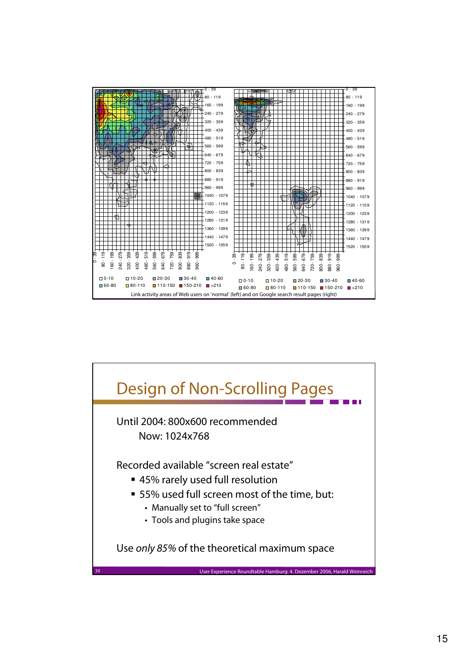